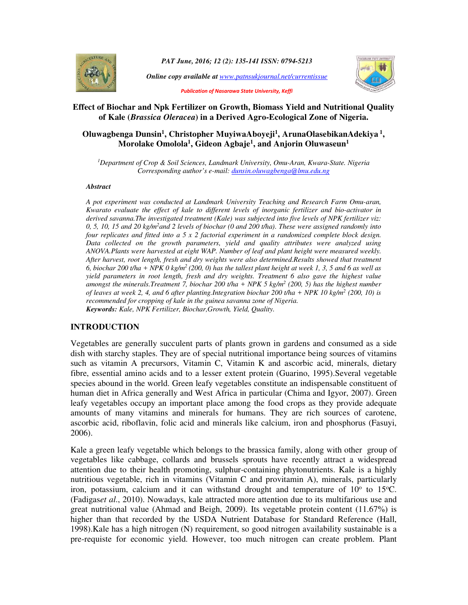

*PAT June, 2016; 12 (2): 135-141 ISSN: 0794-5213*

*Online copy available at www.patnsukjournal.net/currentissue*



*Publication of Nasarawa State University, Keffi* 

## **Effect of Biochar and Npk Fertilizer on Growth, Biomass Yield and Nutritional Quality of Kale (***Brassica Oleracea***) in a Derived Agro-Ecological Zone of Nigeria.**

# **Oluwagbenga Dunsin<sup>1</sup> , Christopher MuyiwaAboyeji<sup>1</sup> , ArunaOlasebikanAdekiya<sup>1</sup> , Morolake Omolola<sup>1</sup> , Gideon Agbaje<sup>1</sup> , and Anjorin Oluwaseun<sup>1</sup>**

*<sup>1</sup>Department of Crop & Soil Sciences, Landmark University, Omu-Aran, Kwara-State. Nigeria Corresponding author's e-mail: dunsin.oluwagbenga@lmu.edu.ng*

#### *Abstract*

*A pot experiment was conducted at Landmark University Teaching and Research Farm Omu-aran, Kwarato evaluate the effect of kale to different levels of inorganic fertilizer and bio-activator in derived savanna.The investigated treatment (Kale) was subjected into five levels of NPK fertilizer viz: 0, 5, 10, 15 and 20 kg/m<sup>2</sup>and 2 levels of biochar (0 and 200 t/ha). These were assigned randomly into four replicates and fitted into a 5 x 2 factorial experiment in a randomized complete block design. Data collected on the growth parameters, yield and quality attributes were analyzed using ANOVA.Plants were harvested at eight WAP. Number of leaf and plant height were measured weekly. After harvest, root length, fresh and dry weights were also determined.Results showed that treatment 6, biochar 200 t/ha + NPK 0 kg/m<sup>2</sup>(200, 0) has the tallest plant height at week 1, 3, 5 and 6 as well as yield parameters in root length, fresh and dry weights. Treatment 6 also gave the highest value amongst the minerals.Treatment 7, biochar 200 t/ha + NPK 5 kg/m<sup>2</sup> (200, 5) has the highest number of leaves at week 2, 4, and 6 after planting.Integration biochar 200 t/ha + NPK 10 kg/m<sup>2</sup> (200, 10) is recommended for cropping of kale in the guinea savanna zone of Nigeria. Keywords: Kale, NPK Fertilizer, Biochar,Growth, Yield, Quality.* 

#### **INTRODUCTION**

Vegetables are generally succulent parts of plants grown in gardens and consumed as a side dish with starchy staples. They are of special nutritional importance being sources of vitamins such as vitamin A precursors, Vitamin C, Vitamin K and ascorbic acid, minerals, dietary fibre, essential amino acids and to a lesser extent protein (Guarino, 1995).Several vegetable species abound in the world. Green leafy vegetables constitute an indispensable constituent of human diet in Africa generally and West Africa in particular (Chima and Igyor, 2007). Green leafy vegetables occupy an important place among the food crops as they provide adequate amounts of many vitamins and minerals for humans. They are rich sources of carotene, ascorbic acid, riboflavin, folic acid and minerals like calcium, iron and phosphorus (Fasuyi, 2006).

Kale a green leafy vegetable which belongs to the brassica family, along with other group of vegetables like cabbage, collards and brussels sprouts have recently attract a widespread attention due to their health promoting, sulphur-containing phytonutrients. Kale is a highly nutritious vegetable, rich in vitamins (Vitamin C and provitamin A), minerals, particularly iron, potassium, calcium and it can withstand drought and temperature of  $10^{\circ}$  to  $15^{\circ}$ C. (Fadigas*et al*., 2010). Nowadays, kale attracted more attention due to its multifarious use and great nutritional value (Ahmad and Beigh, 2009). Its vegetable protein content  $(11.67%)$  is higher than that recorded by the USDA Nutrient Database for Standard Reference (Hall, 1998).Kale has a high nitrogen (N) requirement, so good nitrogen availability sustainable is a pre-requiste for economic yield. However, too much nitrogen can create problem. Plant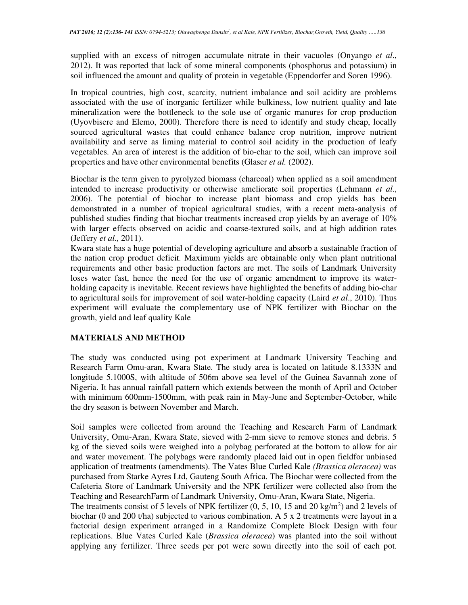supplied with an excess of nitrogen accumulate nitrate in their vacuoles (Onyango *et al*., 2012). It was reported that lack of some mineral components (phosphorus and potassium) in soil influenced the amount and quality of protein in vegetable (Eppendorfer and Soren 1996).

In tropical countries, high cost, scarcity, nutrient imbalance and soil acidity are problems associated with the use of inorganic fertilizer while bulkiness, low nutrient quality and late mineralization were the bottleneck to the sole use of organic manures for crop production (Uyovbisere and Elemo, 2000). Therefore there is need to identify and study cheap, locally sourced agricultural wastes that could enhance balance crop nutrition, improve nutrient availability and serve as liming material to control soil acidity in the production of leafy vegetables. An area of interest is the addition of bio-char to the soil, which can improve soil properties and have other environmental benefits (Glaser *et al.* (2002).

Biochar is the term given to pyrolyzed biomass (charcoal) when applied as a soil amendment intended to increase productivity or otherwise ameliorate soil properties (Lehmann *et al*., 2006). The potential of biochar to increase plant biomass and crop yields has been demonstrated in a number of tropical agricultural studies, with a recent meta-analysis of published studies finding that biochar treatments increased crop yields by an average of 10% with larger effects observed on acidic and coarse-textured soils, and at high addition rates (Jeffery *et al.,* 2011).

Kwara state has a huge potential of developing agriculture and absorb a sustainable fraction of the nation crop product deficit. Maximum yields are obtainable only when plant nutritional requirements and other basic production factors are met. The soils of Landmark University loses water fast, hence the need for the use of organic amendment to improve its waterholding capacity is inevitable. Recent reviews have highlighted the benefits of adding bio-char to agricultural soils for improvement of soil water-holding capacity (Laird *et al*., 2010). Thus experiment will evaluate the complementary use of NPK fertilizer with Biochar on the growth, yield and leaf quality Kale

## **MATERIALS AND METHOD**

The study was conducted using pot experiment at Landmark University Teaching and Research Farm Omu-aran, Kwara State. The study area is located on latitude 8.1333N and longitude 5.1000S, with altitude of 506m above sea level of the Guinea Savannah zone of Nigeria. It has annual rainfall pattern which extends between the month of April and October with minimum 600mm-1500mm, with peak rain in May-June and September-October, while the dry season is between November and March.

Soil samples were collected from around the Teaching and Research Farm of Landmark University, Omu-Aran, Kwara State, sieved with 2-mm sieve to remove stones and debris. 5 kg of the sieved soils were weighed into a polybag perforated at the bottom to allow for air and water movement. The polybags were randomly placed laid out in open fieldfor unbiased application of treatments (amendments). The Vates Blue Curled Kale *(Brassica oleracea)* was purchased from Starke Ayres Ltd, Gauteng South Africa. The Biochar were collected from the Cafeteria Store of Landmark University and the NPK fertilizer were collected also from the Teaching and ResearchFarm of Landmark University, Omu-Aran, Kwara State, Nigeria.

The treatments consist of 5 levels of NPK fertilizer  $(0, 5, 10, 15, 10)$  and  $(2 \text{ kg/m}^2)$  and  $(2 \text{ levels of})$ biochar (0 and 200 t/ha) subjected to various combination. A 5 x 2 treatments were layout in a factorial design experiment arranged in a Randomize Complete Block Design with four replications. Blue Vates Curled Kale (*Brassica oleracea*) was planted into the soil without applying any fertilizer. Three seeds per pot were sown directly into the soil of each pot.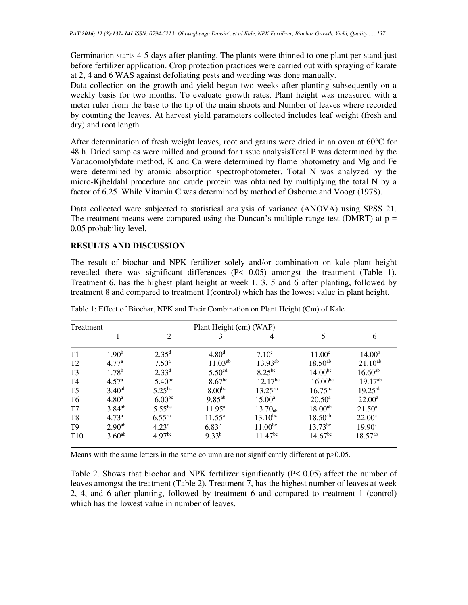Germination starts 4-5 days after planting. The plants were thinned to one plant per stand just before fertilizer application. Crop protection practices were carried out with spraying of karate at 2, 4 and 6 WAS against defoliating pests and weeding was done manually.

Data collection on the growth and yield began two weeks after planting subsequently on a weekly basis for two months. To evaluate growth rates, Plant height was measured with a meter ruler from the base to the tip of the main shoots and Number of leaves where recorded by counting the leaves. At harvest yield parameters collected includes leaf weight (fresh and dry) and root length.

After determination of fresh weight leaves, root and grains were dried in an oven at 60°C for 48 h. Dried samples were milled and ground for tissue analysisTotal P was determined by the Vanadomolybdate method, K and Ca were determined by flame photometry and Mg and Fe were determined by atomic absorption spectrophotometer. Total N was analyzed by the micro-Kjheldahl procedure and crude protein was obtained by multiplying the total N by a factor of 6.25. While Vitamin C was determined by method of Osborne and Voogt (1978).

Data collected were subjected to statistical analysis of variance (ANOVA) using SPSS 21. The treatment means were compared using the Duncan's multiple range test (DMRT) at  $p =$ 0.05 probability level.

## **RESULTS AND DISCUSSION**

The result of biochar and NPK fertilizer solely and/or combination on kale plant height revealed there was significant differences (P< 0.05) amongst the treatment (Table 1). Treatment 6, has the highest plant height at week 1, 3, 5 and 6 after planting, followed by treatment 8 and compared to treatment 1(control) which has the lowest value in plant height.

| Treatment       |                   |                    | Plant Height (cm) (WAP) |                     |                     |                    |
|-----------------|-------------------|--------------------|-------------------------|---------------------|---------------------|--------------------|
|                 |                   | 2                  | 3                       | 4                   | 5                   | 6                  |
| T1              | 1.90 <sup>b</sup> | $2.35^{\rm d}$     | 4.80 <sup>d</sup>       | $7.10^{\circ}$      | $11.00^{\circ}$     | 14.00 <sup>b</sup> |
| T <sub>2</sub>  | 4.77 <sup>a</sup> | $7.50^{\circ}$     | $11.03^{ab}$            | $13.93^{ab}$        | $18.50^{ab}$        | $21.10^{ab}$       |
| T <sub>3</sub>  | 1.78 <sup>b</sup> | $2.33^{d}$         | 5.50 <sup>cd</sup>      | $8.25^{bc}$         | $14.00^{bc}$        | $16.60^{ab}$       |
| <b>T4</b>       | 4.57 <sup>a</sup> | $5.40^{bc}$        | 8.67 <sup>bc</sup>      | $12.17^{bc}$        | 16.00 <sup>bc</sup> | $19.17^{ab}$       |
| T <sub>5</sub>  | $3.40^{ab}$       | $5.25^{bc}$        | $8.00^{bc}$             | $13.25^{ab}$        | $16.75^{bc}$        | $19.25^{ab}$       |
| T <sub>6</sub>  | 4.80 <sup>a</sup> | 6.00 <sup>bc</sup> | $9.85^{ab}$             | $15.00^{\rm a}$     | $20.50^{\circ}$     | $22.00^a$          |
| T <sub>7</sub>  | $3.84^{ab}$       | $5.55^{bc}$        | $11.95^{\rm a}$         | 13.70 <sub>ab</sub> | $18.00^{ab}$        | $21.50^a$          |
| T8              | $4.73^{\rm a}$    | $6.55^{ab}$        | $11.55^{\circ}$         | $13.10^{bc}$        | $18.50^{ab}$        | $22.00^a$          |
| T <sub>9</sub>  | $2.90^{ab}$       | 4.23 <sup>c</sup>  | $6.83^{\circ}$          | $11.00^{bc}$        | $13.73^{bc}$        | $19.90^{\rm a}$    |
| T <sub>10</sub> | $3.60^{ab}$       | 4.97 <sup>bc</sup> | $9.33^{b}$              | $11.47^{bc}$        | $14.67^{bc}$        | $18.57^{ab}$       |

Table 1: Effect of Biochar, NPK and Their Combination on Plant Height (Cm) of Kale

Means with the same letters in the same column are not significantly different at  $p > 0.05$ .

Table 2. Shows that biochar and NPK fertilizer significantly (P< 0.05) affect the number of leaves amongst the treatment (Table 2). Treatment 7, has the highest number of leaves at week 2, 4, and 6 after planting, followed by treatment 6 and compared to treatment 1 (control) which has the lowest value in number of leaves.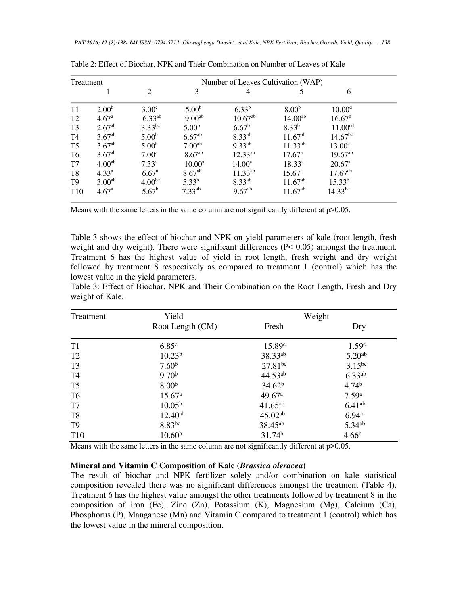| Treatment       |                    |                    | Number of Leaves Cultivation (WAP) |                    |                    |                     |  |  |  |
|-----------------|--------------------|--------------------|------------------------------------|--------------------|--------------------|---------------------|--|--|--|
|                 |                    | $\overline{c}$     | 3                                  | 4                  |                    | 6                   |  |  |  |
| T1              | 2.00 <sup>b</sup>  | $3.00^\circ$       | 5.00 <sup>b</sup>                  | $6.33^{b}$         | 8.00 <sup>b</sup>  | 10.00 <sup>d</sup>  |  |  |  |
| T <sub>2</sub>  | 4.67 <sup>a</sup>  | $6.33^{ab}$        | $9.00^{ab}$                        | $10.67^{ab}$       | $14.00^{ab}$       | $16.67^b$           |  |  |  |
| T <sub>3</sub>  | $2.67^{ab}$        | $3.33^{bc}$        | 5.00 <sup>b</sup>                  | $6.67^{\rm b}$     | $8.33^{b}$         | 11.00 <sup>cd</sup> |  |  |  |
| T <sub>4</sub>  | $3.67^{ab}$        | 5.00 <sup>b</sup>  | $6.67^{ab}$                        | $8.33^{ab}$        | $11.67^{ab}$       | $14.67^{bc}$        |  |  |  |
| T <sub>5</sub>  | $3.67^{ab}$        | 5.00 <sup>b</sup>  | 7.00 <sup>ab</sup>                 | $9.33^{ab}$        | $11.33^{ab}$       | 13.00 <sup>c</sup>  |  |  |  |
| T <sub>6</sub>  | $3.67^{ab}$        | $7.00^{\rm a}$     | 8.67 <sup>ab</sup>                 | $12.33^{ab}$       | $17.67^{\circ}$    | $19.67^{ab}$        |  |  |  |
| T <sub>7</sub>  | 4.00 <sup>ab</sup> | $7.33^{a}$         | $10.00^{\rm a}$                    | 14.00 <sup>a</sup> | $18.33^{a}$        | 20.67 <sup>a</sup>  |  |  |  |
| T <sub>8</sub>  | $4.33^{\rm a}$     | 6.67 <sup>a</sup>  | $8.67^{ab}$                        | $11.33^{ab}$       | 15.67 <sup>a</sup> | $17.67^{ab}$        |  |  |  |
| T <sub>9</sub>  | 3.00 <sup>ab</sup> | 4.00 <sup>bc</sup> | $5.33^{b}$                         | $8.33^{ab}$        | $11.67^{ab}$       | $15.33^{b}$         |  |  |  |
| T <sub>10</sub> | 4.67 <sup>a</sup>  | $5.67^{\rm b}$     | $7.33^{ab}$                        | $9.67^{ab}$        | $11.67^{ab}$       | $14.33^{bc}$        |  |  |  |

Table 2: Effect of Biochar, NPK and Their Combination on Number of Leaves of Kale

Means with the same letters in the same column are not significantly different at  $p>0.05$ .

Table 3 shows the effect of biochar and NPK on yield parameters of kale (root length, fresh weight and dry weight). There were significant differences (P< 0.05) amongst the treatment. Treatment 6 has the highest value of yield in root length, fresh weight and dry weight followed by treatment 8 respectively as compared to treatment 1 (control) which has the lowest value in the yield parameters.

Table 3: Effect of Biochar, NPK and Their Combination on the Root Length, Fresh and Dry weight of Kale.

| Treatment      | Yield              | Weight              |                    |  |
|----------------|--------------------|---------------------|--------------------|--|
|                | Root Length (CM)   | Fresh               | Dry                |  |
| T <sub>1</sub> | 6.85 <sup>c</sup>  | 15.89c              | 1.59 <sup>c</sup>  |  |
| T <sub>2</sub> | 10.23 <sup>b</sup> | 38.33 <sup>ab</sup> | 5.20 <sup>ab</sup> |  |
| T <sub>3</sub> | 7.60 <sup>b</sup>  | $27.81^{bc}$        | $3.15^{bc}$        |  |
| T4             | 9.70 <sup>b</sup>  | $44.53^{ab}$        | $6.33^{ab}$        |  |
| T <sub>5</sub> | 8.00 <sup>b</sup>  | 34.62 <sup>b</sup>  | 4.74 <sup>b</sup>  |  |
| T <sub>6</sub> | 15.67 <sup>a</sup> | 49.67a              | 7.59 <sup>a</sup>  |  |
| T <sub>7</sub> | $10.05^{\rm b}$    | $41.65^{ab}$        | 6.41 <sup>ab</sup> |  |
| T <sub>8</sub> | $12.40^{ab}$       | $45.02^{ab}$        | 6.94a              |  |
| T <sub>9</sub> | $8.83^{bc}$        | 38.45 <sup>ab</sup> | $5.34^{ab}$        |  |
| <b>T10</b>     | 10.60 <sup>b</sup> | 31.74 <sup>b</sup>  | 4.66 <sup>b</sup>  |  |

Means with the same letters in the same column are not significantly different at  $p > 0.05$ .

#### **Mineral and Vitamin C Composition of Kale (***Brassica oleracea***)**

The result of biochar and NPK fertilizer solely and/or combination on kale statistical composition revealed there was no significant differences amongst the treatment (Table 4). Treatment 6 has the highest value amongst the other treatments followed by treatment 8 in the composition of iron (Fe), Zinc (Zn), Potassium (K), Magnesium (Mg), Calcium (Ca), Phosphorus (P), Manganese (Mn) and Vitamin C compared to treatment 1 (control) which has the lowest value in the mineral composition.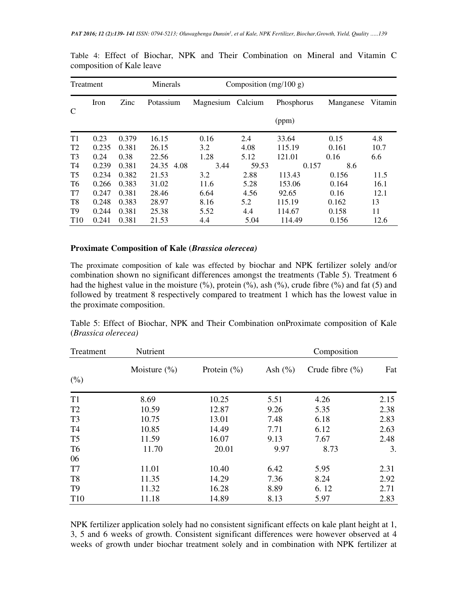| Treatment       |       | Minerals<br>Composition $(mg/100 g)$ |            |                   |       |            |           |         |
|-----------------|-------|--------------------------------------|------------|-------------------|-------|------------|-----------|---------|
|                 | Iron  | Zinc                                 | Potassium  | Magnesium Calcium |       | Phosphorus | Manganese | Vitamin |
| C               |       |                                      |            |                   |       | (ppm)      |           |         |
| T1              | 0.23  | 0.379                                | 16.15      | 0.16              | 2.4   | 33.64      | 0.15      | 4.8     |
| T <sub>2</sub>  | 0.235 | 0.381                                | 26.15      | 3.2               | 4.08  | 115.19     | 0.161     | 10.7    |
| T <sub>3</sub>  | 0.24  | 0.38                                 | 22.56      | 1.28              | 5.12  | 121.01     | 0.16      | 6.6     |
| T4              | 0.239 | 0.381                                | 24.35 4.08 | 3.44              | 59.53 | 0.157      | 8.6       |         |
| T <sub>5</sub>  | 0.234 | 0.382                                | 21.53      | 3.2               | 2.88  | 113.43     | 0.156     | 11.5    |
| T6              | 0.266 | 0.383                                | 31.02      | 11.6              | 5.28  | 153.06     | 0.164     | 16.1    |
| T7              | 0.247 | 0.381                                | 28.46      | 6.64              | 4.56  | 92.65      | 0.16      | 12.1    |
| T <sub>8</sub>  | 0.248 | 0.383                                | 28.97      | 8.16              | 5.2   | 115.19     | 0.162     | 13      |
| T <sub>9</sub>  | 0.244 | 0.381                                | 25.38      | 5.52              | 4.4   | 114.67     | 0.158     | 11      |
| T <sub>10</sub> | 0.241 | 0.381                                | 21.53      | 4.4               | 5.04  | 114.49     | 0.156     | 12.6    |

Table 4: Effect of Biochar, NPK and Their Combination on Mineral and Vitamin C composition of Kale leave

#### **Proximate Composition of Kale (***Brassica olerecea)*

The proximate composition of kale was effected by biochar and NPK fertilizer solely and/or combination shown no significant differences amongst the treatments (Table 5). Treatment 6 had the highest value in the moisture  $(\%)$ , protein  $(\%)$ , ash  $(\%)$ , crude fibre  $(\%)$  and fat (5) and followed by treatment 8 respectively compared to treatment 1 which has the lowest value in the proximate composition.

| Treatment       | Nutrient                            | Composition     |             |                     |      |  |
|-----------------|-------------------------------------|-----------------|-------------|---------------------|------|--|
|                 | Moisture $\left(\frac{0}{0}\right)$ | Protein $(\% )$ | Ash $(\% )$ | Crude fibre $(\% )$ | Fat  |  |
| (0/0)           |                                     |                 |             |                     |      |  |
| T <sub>1</sub>  | 8.69                                | 10.25           | 5.51        | 4.26                | 2.15 |  |
| T <sub>2</sub>  | 10.59                               | 12.87           | 9.26        | 5.35                | 2.38 |  |
| T <sub>3</sub>  | 10.75                               | 13.01           | 7.48        | 6.18                | 2.83 |  |
| T <sub>4</sub>  | 10.85                               | 14.49           | 7.71        | 6.12                | 2.63 |  |
| T <sub>5</sub>  | 11.59                               | 16.07           | 9.13        | 7.67                | 2.48 |  |
| T <sub>6</sub>  | 11.70                               | 20.01           | 9.97        | 8.73                | 3.   |  |
| 06              |                                     |                 |             |                     |      |  |
| T7              | 11.01                               | 10.40           | 6.42        | 5.95                | 2.31 |  |
| T <sub>8</sub>  | 11.35                               | 14.29           | 7.36        | 8.24                | 2.92 |  |
| T <sub>9</sub>  | 11.32                               | 16.28           | 8.89        | 6.12                | 2.71 |  |
| T <sub>10</sub> | 11.18                               | 14.89           | 8.13        | 5.97                | 2.83 |  |

Table 5: Effect of Biochar, NPK and Their Combination onProximate composition of Kale (*Brassica olerecea)* 

NPK fertilizer application solely had no consistent significant effects on kale plant height at 1, 3, 5 and 6 weeks of growth. Consistent significant differences were however observed at 4 weeks of growth under biochar treatment solely and in combination with NPK fertilizer at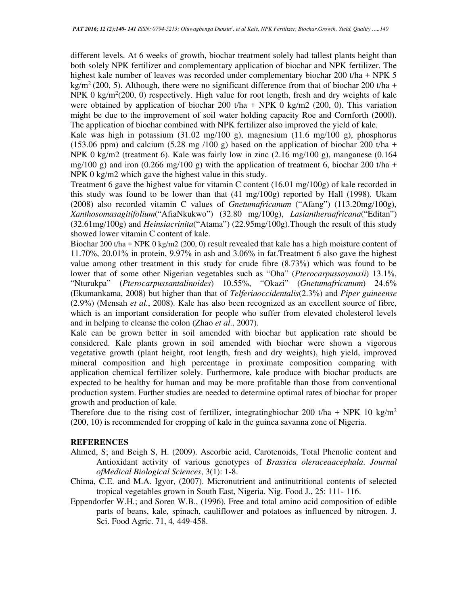different levels. At 6 weeks of growth, biochar treatment solely had tallest plants height than both solely NPK fertilizer and complementary application of biochar and NPK fertilizer. The highest kale number of leaves was recorded under complementary biochar 200 t/ha + NPK 5 kg/m<sup>2</sup> (200, 5). Although, there were no significant difference from that of biochar 200 t/ha + NPK 0  $\text{kg/m}^2$ (200, 0) respectively. High value for root length, fresh and dry weights of kale were obtained by application of biochar 200 t/ha + NPK 0 kg/m2 (200, 0). This variation might be due to the improvement of soil water holding capacity Roe and Cornforth (2000). The application of biochar combined with NPK fertilizer also improved the yield of kale.

Kale was high in potassium (31.02 mg/100 g), magnesium (11.6 mg/100 g), phosphorus (153.06 ppm) and calcium (5.28 mg /100 g) based on the application of biochar 200 t/ha + NPK 0 kg/m2 (treatment 6). Kale was fairly low in zinc  $(2.16 \text{ mg}/100 \text{ g})$ , manganese  $(0.164 \text{ g})$ mg/100 g) and iron (0.266 mg/100 g) with the application of treatment 6, biochar 200 t/ha + NPK 0 kg/m2 which gave the highest value in this study.

Treatment 6 gave the highest value for vitamin C content (16.01 mg/100g) of kale recorded in this study was found to be lower than that (41 mg/100g) reported by Hall (1998). Ukam (2008) also recorded vitamin C values of *Gnetumafricanum* ("Afang") (113.20mg/100g), *Xanthosomasagitifolium*("AfiaNkukwo") (32.80 mg/100g), *Lasiantheraafricana*("Editan") (32.61mg/100g) and *Heinsiacrinita*("Atama") (22.95mg/100g).Though the result of this study showed lower vitamin C content of kale.

Biochar 200 t/ha + NPK 0 kg/m2 (200, 0) result revealed that kale has a high moisture content of 11.70%, 20.01% in protein, 9.97% in ash and 3.06% in fat.Treatment 6 also gave the highest value among other treatment in this study for crude fibre (8.73%) which was found to be lower that of some other Nigerian vegetables such as "Oha" (*Pterocarpussoyauxii*) 13.1%, "Nturukpa" (*Pterocarpussantalinoides*) 10.55%, "Okazi" (*Gnetumafricanum*) 24.6% (Ekumankama, 2008) but higher than that of *Telferiaoccidentalis*(2.3%) and *Piper guineense* (2.9%) (Mensah *et al*., 2008). Kale has also been recognized as an excellent source of fibre, which is an important consideration for people who suffer from elevated cholesterol levels and in helping to cleanse the colon (Zhao *et al*., 2007).

Kale can be grown better in soil amended with biochar but application rate should be considered. Kale plants grown in soil amended with biochar were shown a vigorous vegetative growth (plant height, root length, fresh and dry weights), high yield, improved mineral composition and high percentage in proximate composition comparing with application chemical fertilizer solely. Furthermore, kale produce with biochar products are expected to be healthy for human and may be more profitable than those from conventional production system. Further studies are needed to determine optimal rates of biochar for proper growth and production of kale.

Therefore due to the rising cost of fertilizer, integrating biochar 200 t/ha + NPK 10 kg/m<sup>2</sup> (200, 10) is recommended for cropping of kale in the guinea savanna zone of Nigeria.

### **REFERENCES**

- Ahmed, S; and Beigh S, H. (2009). Ascorbic acid, Carotenoids, Total Phenolic content and Antioxidant activity of various genotypes of *Brassica oleraceaacephala*. *Journal ofMedical Biological Sciences*, 3(1): 1-8.
- Chima, C.E. and M.A. Igyor, (2007). Micronutrient and antinutritional contents of selected tropical vegetables grown in South East, Nigeria. Nig. Food J., 25: 111- 116.
- Eppendorfer W.H.; and Soren W.B., (1996). Free and total amino acid composition of edible parts of beans, kale, spinach, cauliflower and potatoes as influenced by nitrogen. J. Sci. Food Agric. 71, 4, 449-458.